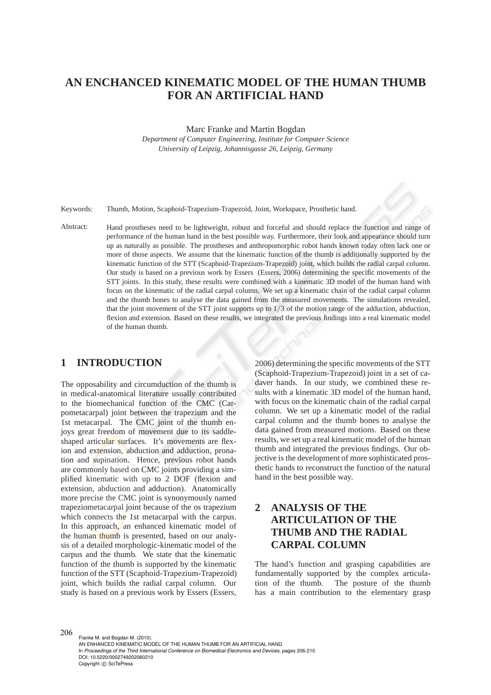# **AN ENCHANCED KINEMATIC MODEL OF THE HUMAN THUMB FOR AN ARTIFICIAL HAND**

Marc Franke and Martin Bogdan

*Department of Computer Engineering, Institute for Computer Science University of Leipzig, Johannisgasse 26, Leipzig, Germany*

Keywords: Thumb, Motion, Scaphoid-Trapezium-Trapezoid, Joint, Workspace, Prosthetic hand.

Abstract: Hand prostheses need to be lightweight, robust and forceful and should replace the function and range of performance of the human hand in the best possible way. Furthermore, their look and appearance should turn up as naturally as possible. The prostheses and anthropomorphic robot hands known today often lack one or more of those aspects. We assume that the kinematic function of the thumb is additionally supported by the kinematic function of the STT (Scaphoid-Trapezium-Trapezoid) joint, which builds the radial carpal column. Our study is based on a previous work by Essers (Essers, 2006) determining the specific movements of the STT joints. In this study, these results were combined with a kinematic 3D model of the human hand with focus on the kinematic of the radial carpal column. We set up a kinematic chain of the radial carpal column and the thumb bones to analyse the data gained from the measured movements. The simulations revealed, that the joint movement of the STT joint supports up to 1/3 of the motion range of the adduction, abduction, flexion and extension. Based on these results, we integrated the previous findings into a real kinematic model of the human thumb.

### **1 INTRODUCTION**

The opposability and circumduction of the thumb is in medical-anatomical literature usually contributed to the biomechanical function of the CMC (Carpometacarpal) joint between the trapezium and the 1st metacarpal. The CMC joint of the thumb enjoys great freedom of movement due to its saddleshaped articular surfaces. It's movements are flexion and extension, abduction and adduction, pronation and supination. Hence, previous robot hands are commonly based on CMC joints providing a simplified kinematic with up to 2 DOF (flexion and extension, abduction and adduction). Anatomically more precise the CMC joint is synonymously named trapeziometacarpal joint because of the os trapezium which connects the 1st metacarpal with the carpus. In this approach, an enhanced kinematic model of the human thumb is presented, based on our analysis of a detailed morphologic-kinematic model of the carpus and the thumb. We state that the kinematic function of the thumb is supported by the kinematic function of the STT (Scaphoid-Trapezium-Trapezoid) joint, which builds the radial carpal column. Our study is based on a previous work by Essers (Essers,

2006) determining the specific movements of the STT (Scaphoid-Trapezium-Trapezoid) joint in a set of cadaver hands. In our study, we combined these results with a kinematic 3D model of the human hand, with focus on the kinematic chain of the radial carpal column. We set up a kinematic model of the radial carpal column and the thumb bones to analyse the data gained from measured motions. Based on these results, we set up a real kinematic model of the human thumb and integrated the previous findings. Our objective is the development of more sophisticated prosthetic hands to reconstruct the function of the natural hand in the best possible way.

# **2 ANALYSIS OF THE ARTICULATION OF THE THUMB AND THE RADIAL CARPAL COLUMN**

The hand's function and grasping capabilities are fundamentally supported by the complex articulation of the thumb. The posture of the thumb has a main contribution to the elementary grasp

206

Franke M. and Bogdan M. (2010). AN ENHANCED KINEMATIC MODEL OF THE HUMAN THUMB FOR AN ARTIFICIAL HAND. In *Proceedings of the Third International Conference on Biomedical Electronics and Devices*, pages 206-210 DOI: 10.5220/0002749202060210 Copyright © SciTePress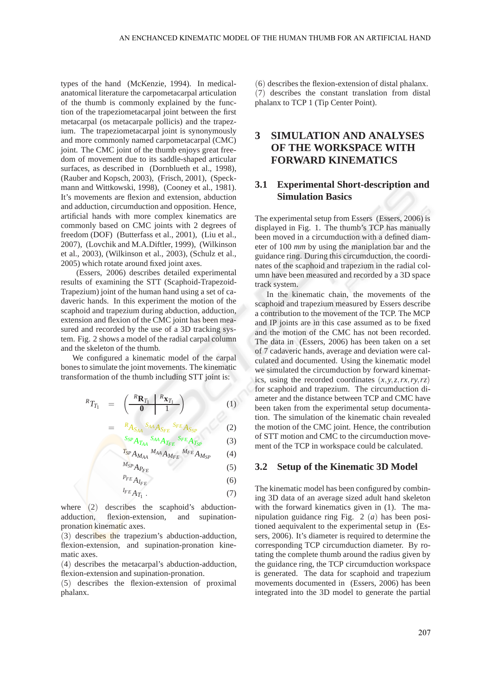types of the hand (McKenzie, 1994). In medicalanatomical literature the carpometacarpal articulation of the thumb is commonly explained by the function of the trapeziometacarpal joint between the first metacarpal (os metacarpale pollicis) and the trapezium. The trapeziometacarpal joint is synonymously and more commonly named carpometacarpal (CMC) joint. The CMC joint of the thumb enjoys great freedom of movement due to its saddle-shaped articular surfaces, as described in (Dornblueth et al., 1998), (Rauber and Kopsch, 2003), (Frisch, 2001), (Speckmann and Wittkowski, 1998), (Cooney et al., 1981). It's movements are flexion and extension, abduction and adduction, circumduction and opposition. Hence, artificial hands with more complex kinematics are commonly based on CMC joints with 2 degrees of freedom (DOF) (Butterfass et al., 2001), (Liu et al., 2007), (Lovchik and M.A.Diftler, 1999), (Wilkinson et al., 2003), (Wilkinson et al., 2003), (Schulz et al., 2005) which rotate around fixed joint axes.

(Essers, 2006) describes detailed experimental results of examining the STT (Scaphoid-Trapezoid-Trapezium) joint of the human hand using a set of cadaveric hands. In this experiment the motion of the scaphoid and trapezium during abduction, adduction, extension and flexion of the CMC joint has been measured and recorded by the use of a 3D tracking system. Fig. 2 shows a model of the radial carpal column and the skeleton of the thumb.

We configured a kinematic model of the carpal bones to simulate the joint movements. The kinematic transformation of the thumb including STT joint is:

$$
{}^{R}T_{T_1} = \left(\begin{array}{c|c} {}^{R}\mathbf{R}_{T_1} & {}^{R}\mathbf{x}_{T_1} \\ \hline 0 & 1 \end{array}\right) \tag{1}
$$

$$
= \quad {}^{R}A_{S_{AA}} \, {}^{S_{AA}}A_{S_{FE}} \, {}^{S_{FE}}A_{S_{SP}} \tag{2}
$$

 ${}^{S_{SP}}\!A_{T_{\!A\!A}}$  ${}^{S_{AA}}A_{T_{FE}}$ *<sup>S</sup>FE ATSP* (3)

$$
T_{SP} A_{M_{AA}}{}^{M_{AA}} A_{M_{FE}}{}^{M_{FE}} A_{M_{SP}} \qquad (4)
$$

 $M_{SP}A_{P_{FF}}$  (5)

$$
P_{FE} A_{I_{FE}} \tag{6}
$$

$$
{}^{I_{FE}}A_{T_1} \t\t(7)
$$

where (2) describes the scaphoid's abductionadduction, flexion-extension, and supinationpronation kinematic axes.

(3) describes the trapezium's abduction-adduction, flexion-extension, and supination-pronation kinematic axes.

(4) describes the metacarpal's abduction-adduction, flexion-extension and supination-pronation.

(5) describes the flexion-extension of proximal phalanx.

(6) describes the flexion-extension of distal phalanx. (7) describes the constant translation from distal phalanx to TCP 1 (Tip Center Point).

## **3 SIMULATION AND ANALYSES OF THE WORKSPACE WITH FORWARD KINEMATICS**

### **3.1 Experimental Short-description and Simulation Basics**

The experimental setup from Essers (Essers, 2006) is displayed in Fig. 1. The thumb's TCP has manually been moved in a circumduction with a defined diameter of 100 *mm* by using the maniplation bar and the guidance ring. During this circumduction, the coordinates of the scaphoid and trapezium in the radial column have been measured and recorded by a 3D space track system.

In the kinematic chain, the movements of the scaphoid and trapezium measured by Essers describe a contribution to the movement of the TCP. The MCP and IP joints are in this case assumed as to be fixed and the motion of the CMC has not been recorded. The data in (Essers, 2006) has been taken on a set of 7 cadaveric hands, average and deviation were calculated and documented. Using the kinematic model we simulated the circumduction by forward kinematics, using the recorded coordinates (*x*,*y*,*z*,*rx*,*ry*,*rz*) for scaphoid and trapezium. The circumduction diameter and the distance between TCP and CMC have been taken from the experimental setup documentation. The simulation of the kinematic chain revealed the motion of the CMC joint. Hence, the contribution of STT motion and CMC to the circumduction movement of the TCP in workspace could be calculated.

#### **3.2 Setup of the Kinematic 3D Model**

The kinematic model has been configured by combining 3D data of an average sized adult hand skeleton with the forward kinematics given in (1). The manipulation guidance ring Fig. 2 (*a*) has been positioned aequivalent to the experimental setup in (Essers, 2006). It's diameter is required to determine the corresponding TCP circumduction diameter. By rotating the complete thumb around the radius given by the guidance ring, the TCP circumduction workspace is generated. The data for scaphoid and trapezium movements documented in (Essers, 2006) has been integrated into the 3D model to generate the partial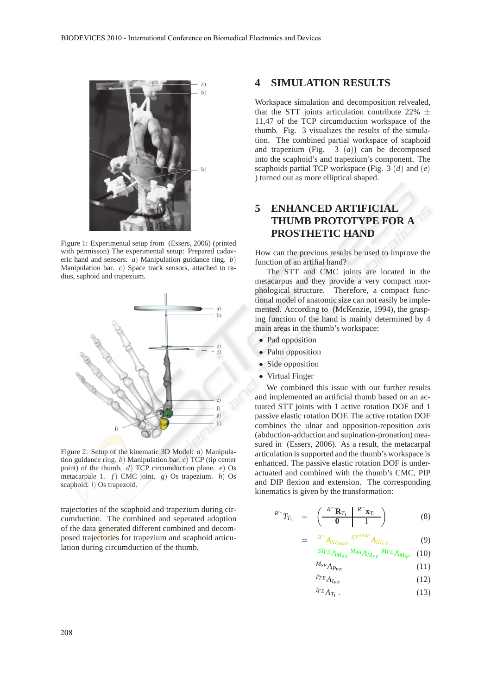

Figure 1: Experimental setup from (Essers, 2006) (printed with permisson) The experimental setup: Prepared cadaveric hand and sensors. *a*) Manipulation guidance ring. *b*) Manipulation bar. *c*) Space track sensors, attached to radius, saphoid and trapezium.



Figure 2: Setup of the kinematic 3D Model: *a*) Manipulation guidance ring. *b*) Manipulation bar. *c*) TCP (tip center point) of the thumb. *d*) TCP circumduction plane. *e*) Os metacarpale 1. *f*) CMC joint. *g*) Os trapezium. *h*) Os scaphoid. *i*) Os trapezoid.

trajectories of the scaphoid and trapezium during circumduction. The combined and seperated adoption of the data generated different combined and decomposed trajectories for trapezium and scaphoid articulation during circumduction of the thumb.

### **4 SIMULATION RESULTS**

Workspace simulation and decomposition relvealed, that the STT joints articulation contribute 22%  $\pm$ 11,47 of the TCP circumduction workspace of the thumb. Fig. 3 visualizes the results of the simulation. The combined partial workspace of scaphoid and trapezium (Fig. 3 (*a*)) can be decomposed into the scaphoid's and trapezium's component. The scaphoids partial TCP workspace (Fig. 3 (*d*) and (*e*) ) turned out as more elliptical shaped.

# **5 ENHANCED ARTIFICIAL THUMB PROTOTYPE FOR A PROSTHETIC HAND**

How can the previous results be used to improve the function of an artifial hand?

The STT and CMC joints are located in the metacarpus and they provide a very compact morphological structure. Therefore, a compact functional model of anatomic size can not easily be implemented. According to (McKenzie, 1994), the grasping function of the hand is mainly determined by 4 main areas in the thumb's workspace:

- Pad opposition
- Palm opposition
- Side opposition
- Virtual Finger

We combined this issue with our further results and implemented an artificial thumb based on an actuated STT joints with 1 active rotation DOF and 1 passive elastic rotation DOF. The active rotation DOF combines the ulnar and opposition-reposition axis (abduction-adduction and supination-pronation) measured in (Essers, 2006). As a result, the metacarpal articulation is supported and the thumb's workspace is enhanced. The passive elastic rotation DOF is underactuated and combined with the thumb's CMC, PIP and DIP flexion and extension. The corresponding kinematics is given by the transformation:

$$
{}^{R\sim}T_{T_1} = \left(\begin{array}{c|c} {}^{R\sim}\mathbf{R}_{T_1} & {}^{R\sim}\mathbf{x}_{T_1} \\ \hline \mathbf{0} & 1 \end{array}\right) \tag{8}
$$

$$
= \tR^{\sim} A_{ST_{AASP}} \tST^{AASP} A_{ST_{FE}} \t(9)
$$

$$
\, {}^{ST_{FE}}A_{M_{AA}}\, {}^{M_{AA}}A_{M_{FE}}\, {}^{M_{FE}}A_{M_{SP}} \quad (10)
$$

$$
M_{SP}A_{P_{FE}} \tag{11}
$$

- $P_{FE}$  *A*<sub>*IFE</sub>* (12)</sub>
- $I_{FE}A_{T_1}$ .  $(13)$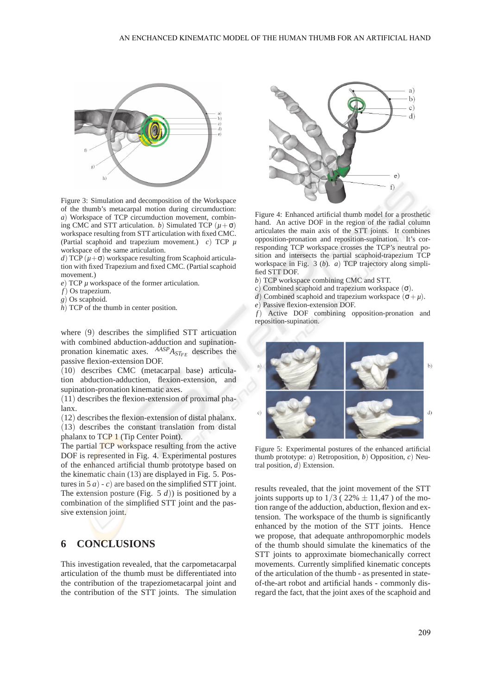

Figure 3: Simulation and decomposition of the Workspace of the thumb's metacarpal motion during circumduction: *a*) Workspace of TCP circumduction movement, combining CMC and STT articulation. *b*) Simulated TCP  $(\mu + \sigma)$ workspace resulting from STT articulation with fixed CMC. (Partial scaphoid and trapezium movement.) *c*) TCP *µ* workspace of the same articulation.

*d*) TCP  $(\mu + \sigma)$  workspace resulting from Scaphoid articulation with fixed Trapezium and fixed CMC. (Partial scaphoid movement.)

*) TCP*  $\mu$  *workspace of the former articulation.* 

*f*) Os trapezium.

*g*) Os scaphoid.

*h*) TCP of the thumb in center position.

where (9) describes the simplified STT articuation with combined abduction-adduction and supinationpronation kinematic axes. *AASPASTFE* describes the passive flexion-extension DOF.

(10) describes CMC (metacarpal base) articulation abduction-adduction, flexion-extension, and supination-pronation kinematic axes.

(11) describes the flexion-extension of proximal phalanx.

(12) describes the flexion-extension of distal phalanx. (13) describes the constant translation from distal

phalanx to TCP 1 (Tip Center Point). The partial TCP workspace resulting from the active DOF is represented in Fig. 4. Experimental postures of the enhanced artificial thumb prototype based on the kinematic chain (13) are displayed in Fig. 5. Pos-

tures in  $5a$  – *c*) are based on the simplified STT joint. The extension posture (Fig. 5  $d$ )) is positioned by a combination of the simplified STT joint and the passive extension joint.

### **6 CONCLUSIONS**

This investigation revealed, that the carpometacarpal articulation of the thumb must be differentiated into the contribution of the trapeziometacarpal joint and the contribution of the STT joints. The simulation



Figure 4: Enhanced artificial thumb model for a prosthetic hand. An active DOF in the region of the radial column articulates the main axis of the STT joints. It combines opposition-pronation and reposition-supination. It's corresponding TCP workspace crosses the TCP's neutral position and intersects the partial scaphoid-trapezium TCP workspace in Fig. 3 (*b*). *a*) TCP trajectory along simplified STT DOF.

- *b*) TCP workspace combining CMC and STT.
- *c*) Combined scaphoid and trapezium workspace (σ).
- *d*) Combined scaphoid and trapezium workspace  $(\sigma + \mu)$ .
- *e*) Passive flexion-extension DOF.

*f*) Active DOF combining opposition-pronation and reposition-supination.



Figure 5: Experimental postures of the enhanced artificial thumb prototype: *a*) Retroposition, *b*) Opposition, *c*) Neutral position, *d*) Extension.

results revealed, that the joint movement of the STT joints supports up to  $1/3$  (22%  $\pm$  11,47) of the motion range of the adduction, abduction, flexion and extension. The workspace of the thumb is significantly enhanced by the motion of the STT joints. Hence we propose, that adequate anthropomorphic models of the thumb should simulate the kinematics of the STT joints to approximate biomechanically correct movements. Currently simplified kinematic concepts of the articulation of the thumb - as presented in stateof-the-art robot and artificial hands - commonly disregard the fact, that the joint axes of the scaphoid and